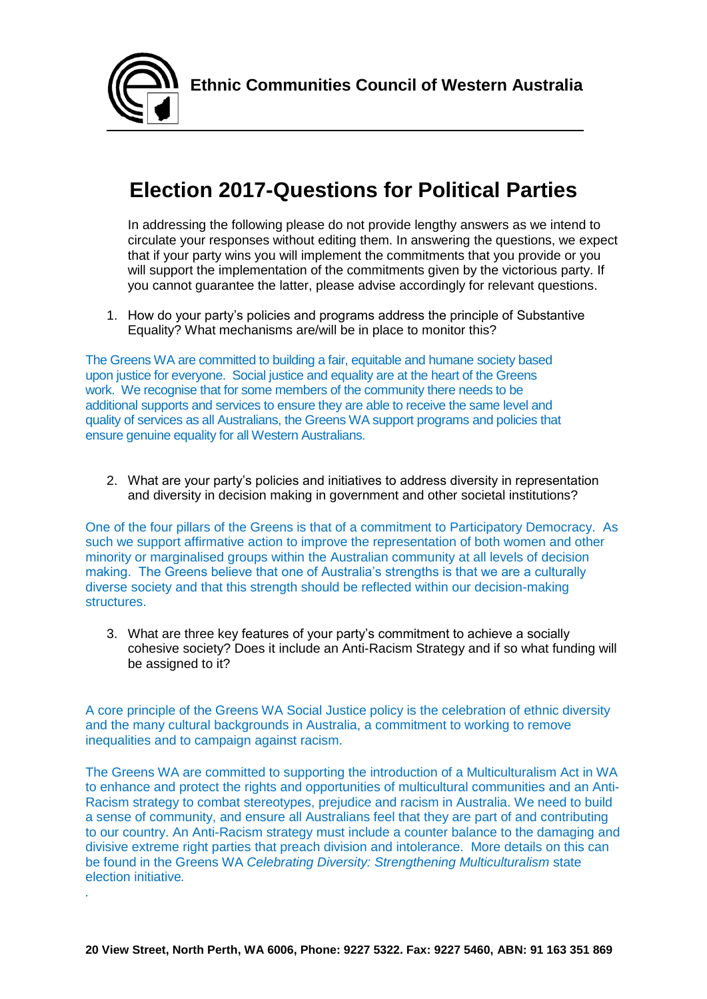

## **Election 2017-Questions for Political Parties**

In addressing the following please do not provide lengthy answers as we intend to circulate your responses without editing them. In answering the questions, we expect that if your party wins you will implement the commitments that you provide or you will support the implementation of the commitments given by the victorious party. If you cannot guarantee the latter, please advise accordingly for relevant questions.

1. How do your party's policies and programs address the principle of Substantive Equality? What mechanisms are/will be in place to monitor this?

The Greens WA are committed to building a fair, equitable and humane society based upon justice for everyone. Social justice and equality are at the heart of the Greens work. We recognise that for some members of the community there needs to be additional supports and services to ensure they are able to receive the same level and quality of services as all Australians, the Greens WA support programs and policies that ensure genuine equality for all Western Australians.

2. What are your party's policies and initiatives to address diversity in representation and diversity in decision making in government and other societal institutions?

One of the four pillars of the Greens is that of a commitment to Participatory Democracy. As such we support affirmative action to improve the representation of both women and other minority or marginalised groups within the Australian community at all levels of decision making. The Greens believe that one of Australia's strengths is that we are a culturally diverse society and that this strength should be reflected within our decision-making structures.

3. What are three key features of your party's commitment to achieve a socially cohesive society? Does it include an Anti-Racism Strategy and if so what funding will be assigned to it?

A core principle of the Greens WA Social Justice policy is the celebration of ethnic diversity and the many cultural backgrounds in Australia, a commitment to working to remove inequalities and to campaign against racism.

The Greens WA are committed to supporting the introduction of a Multiculturalism Act in WA to enhance and protect the rights and opportunities of multicultural communities and an Anti-Racism strategy to combat stereotypes, prejudice and racism in Australia. We need to build a sense of community, and ensure all Australians feel that they are part of and contributing to our country. An Anti-Racism strategy must include a counter balance to the damaging and divisive extreme right parties that preach division and intolerance. More details on this can be found in the Greens WA *Celebrating Diversity: Strengthening Multiculturalism* state election initiative*.* 

*.*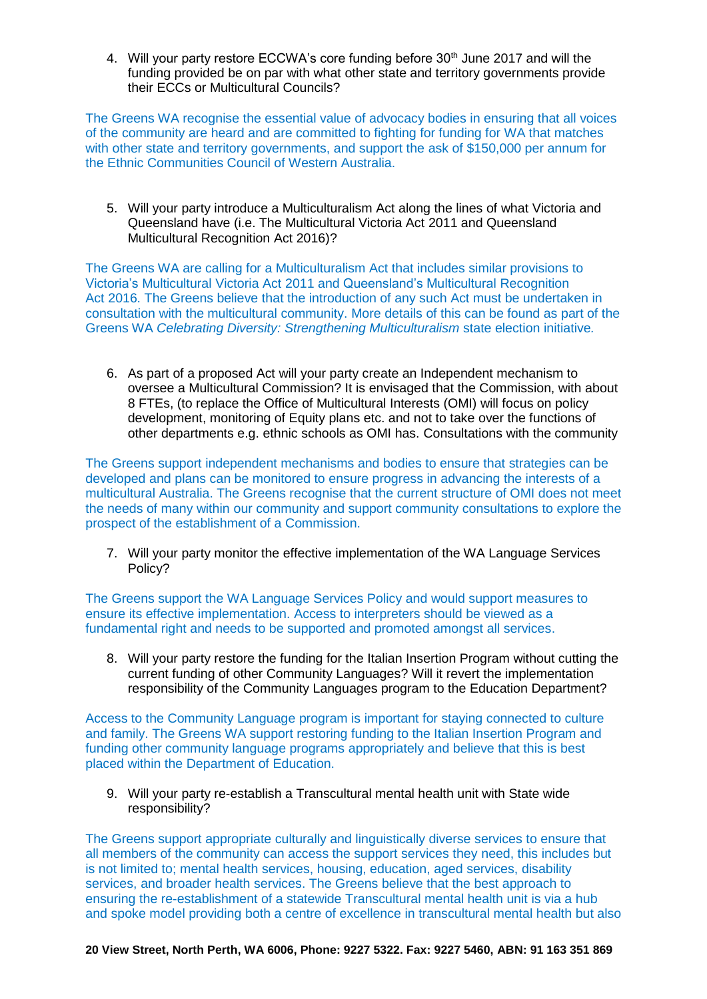4. Will your party restore ECCWA's core funding before 30<sup>th</sup> June 2017 and will the funding provided be on par with what other state and territory governments provide their ECCs or Multicultural Councils?

The Greens WA recognise the essential value of advocacy bodies in ensuring that all voices of the community are heard and are committed to fighting for funding for WA that matches with other state and territory governments, and support the ask of \$150,000 per annum for the Ethnic Communities Council of Western Australia.

5. Will your party introduce a Multiculturalism Act along the lines of what Victoria and Queensland have (i.e. The Multicultural Victoria Act 2011 and Queensland Multicultural Recognition Act 2016)?

The Greens WA are calling for a Multiculturalism Act that includes similar provisions to Victoria's Multicultural Victoria Act 2011 and Queensland's Multicultural Recognition Act 2016. The Greens believe that the introduction of any such Act must be undertaken in consultation with the multicultural community. More details of this can be found as part of the Greens WA *Celebrating Diversity: Strengthening Multiculturalism* state election initiative*.* 

6. As part of a proposed Act will your party create an Independent mechanism to oversee a Multicultural Commission? It is envisaged that the Commission, with about 8 FTEs, (to replace the Office of Multicultural Interests (OMI) will focus on policy development, monitoring of Equity plans etc. and not to take over the functions of other departments e.g. ethnic schools as OMI has. Consultations with the community

The Greens support independent mechanisms and bodies to ensure that strategies can be developed and plans can be monitored to ensure progress in advancing the interests of a multicultural Australia. The Greens recognise that the current structure of OMI does not meet the needs of many within our community and support community consultations to explore the prospect of the establishment of a Commission.

7. Will your party monitor the effective implementation of the WA Language Services Policy?

The Greens support the WA Language Services Policy and would support measures to ensure its effective implementation. Access to interpreters should be viewed as a fundamental right and needs to be supported and promoted amongst all services.

8. Will your party restore the funding for the Italian Insertion Program without cutting the current funding of other Community Languages? Will it revert the implementation responsibility of the Community Languages program to the Education Department?

Access to the Community Language program is important for staying connected to culture and family. The Greens WA support restoring funding to the Italian Insertion Program and funding other community language programs appropriately and believe that this is best placed within the Department of Education.

9. Will your party re-establish a Transcultural mental health unit with State wide responsibility?

The Greens support appropriate culturally and linguistically diverse services to ensure that all members of the community can access the support services they need, this includes but is not limited to; mental health services, housing, education, aged services, disability services, and broader health services. The Greens believe that the best approach to ensuring the re-establishment of a statewide Transcultural mental health unit is via a hub and spoke model providing both a centre of excellence in transcultural mental health but also